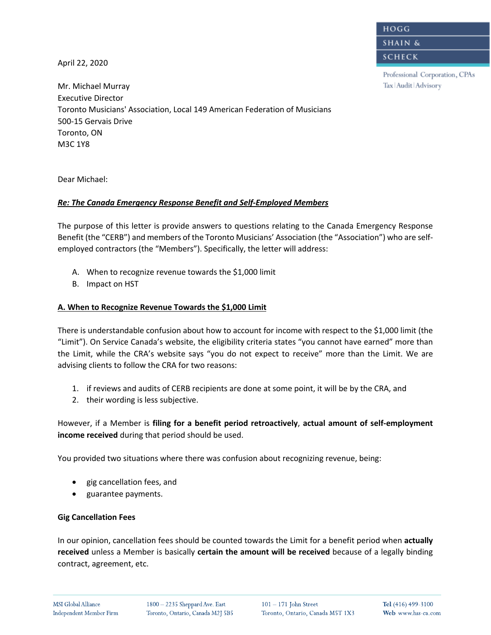HOGG

**SHAIN &** 

**SCHECK** 

Professional Corporation, CPAs Tax | Audit | Advisory

April 22, 2020

Mr. Michael Murray Executive Director Toronto Musicians' Association, Local 149 American Federation of Musicians 500-15 Gervais Drive Toronto, ON M3C 1Y8

Dear Michael:

# *Re: The Canada Emergency Response Benefit and Self-Employed Members*

The purpose of this letter is provide answers to questions relating to the Canada Emergency Response Benefit (the "CERB") and members of the Toronto Musicians' Association (the "Association") who are selfemployed contractors (the "Members"). Specifically, the letter will address:

- A. When to recognize revenue towards the \$1,000 limit
- B. Impact on HST

# **A. When to Recognize Revenue Towards the \$1,000 Limit**

There is understandable confusion about how to account for income with respect to the \$1,000 limit (the "Limit"). On Service Canada's website, the eligibility criteria states "you cannot have earned" more than the Limit, while the CRA's website says "you do not expect to receive" more than the Limit. We are advising clients to follow the CRA for two reasons:

- 1. if reviews and audits of CERB recipients are done at some point, it will be by the CRA, and
- 2. their wording is less subjective.

However, if a Member is **filing for a benefit period retroactively**, **actual amount of self-employment income received** during that period should be used.

You provided two situations where there was confusion about recognizing revenue, being:

- gig cancellation fees, and
- guarantee payments.

# **Gig Cancellation Fees**

In our opinion, cancellation fees should be counted towards the Limit for a benefit period when **actually received** unless a Member is basically **certain the amount will be received** because of a legally binding contract, agreement, etc.